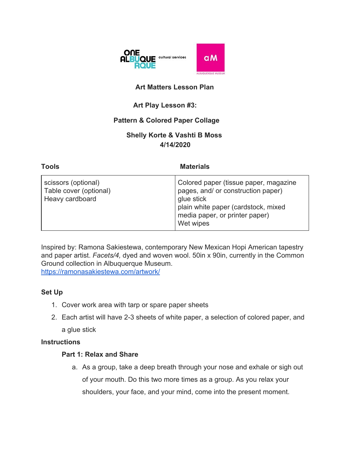

## **Art Matters Lesson Plan**

## **Art Play Lesson #3:**

### **Pattern & Colored Paper Collage**

## **Shelly Korte & Vashti B Moss 4/14/2020**

| <b>Tools</b>                                                     | <b>Materials</b>                                                                                                                                                                |
|------------------------------------------------------------------|---------------------------------------------------------------------------------------------------------------------------------------------------------------------------------|
| scissors (optional)<br>Table cover (optional)<br>Heavy cardboard | Colored paper (tissue paper, magazine<br>pages, and/ or construction paper)<br>glue stick<br>plain white paper (cardstock, mixed<br>media paper, or printer paper)<br>Wet wipes |

Inspired by: Ramona Sakiestewa, contemporary New Mexican Hopi American tapestry and paper artist. *Facets/4,* dyed and woven wool. 50in x 90in, currently in the Common Ground collection in Albuquerque Museum. <https://ramonasakiestewa.com/artwork/>

#### **Set Up**

- 1. Cover work area with tarp or spare paper sheets
- 2. Each artist will have 2-3 sheets of white paper, a selection of colored paper, and a glue stick

### **Instructions**

#### **Part 1: Relax and Share**

a. As a group, take a deep breath through your nose and exhale or sigh out of your mouth. Do this two more times as a group. As you relax your shoulders, your face, and your mind, come into the present moment.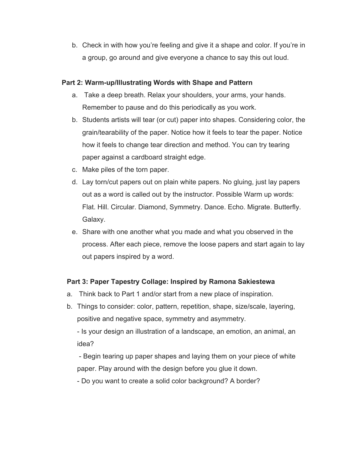b. Check in with how you're feeling and give it a shape and color. If you're in a group, go around and give everyone a chance to say this out loud.

#### **Part 2: Warm-up/Illustrating Words with Shape and Pattern**

- a. Take a deep breath. Relax your shoulders, your arms, your hands. Remember to pause and do this periodically as you work.
- b. Students artists will tear (or cut) paper into shapes. Considering color, the grain/tearability of the paper. Notice how it feels to tear the paper. Notice how it feels to change tear direction and method. You can try tearing paper against a cardboard straight edge.
- c. Make piles of the torn paper.
- d. Lay torn/cut papers out on plain white papers. No gluing, just lay papers out as a word is called out by the instructor. Possible Warm up words: Flat. Hill. Circular. Diamond, Symmetry. Dance. Echo. Migrate. Butterfly. Galaxy.
- e. Share with one another what you made and what you observed in the process. After each piece, remove the loose papers and start again to lay out papers inspired by a word.

### **Part 3: Paper Tapestry Collage: Inspired by Ramona Sakiestewa**

- a. Think back to Part 1 and/or start from a new place of inspiration.
- b. Things to consider: color, pattern, repetition, shape, size/scale, layering, positive and negative space, symmetry and asymmetry.

- Is your design an illustration of a landscape, an emotion, an animal, an idea?

 - Begin tearing up paper shapes and laying them on your piece of white paper. Play around with the design before you glue it down.

- Do you want to create a solid color background? A border?